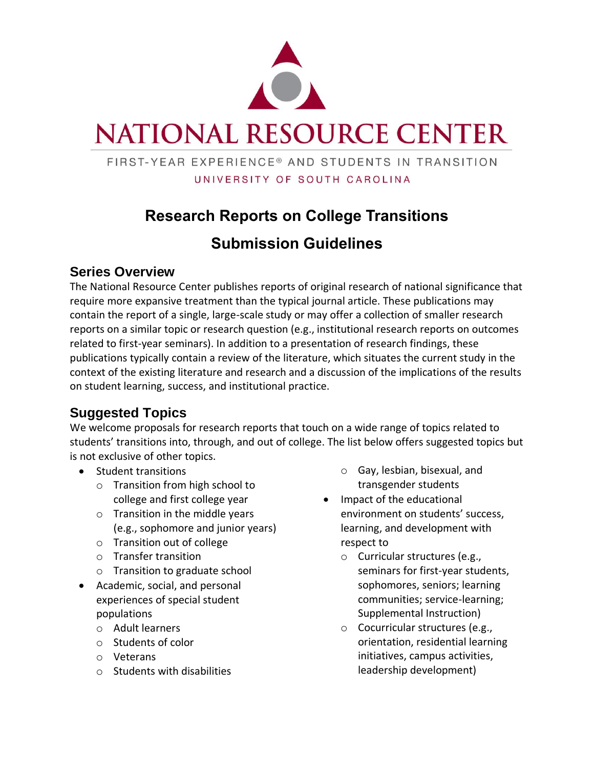

# **NATIONAL RESOURCE CENTER**

#### FIRST-YEAR EXPERIENCE® AND STUDENTS IN TRANSITION UNIVERSITY OF SOUTH CAROLINA

# **Research Reports on College Transitions**

# **Submission Guidelines**

#### **Series Overview**

The National Resource Center publishes reports of original research of national significance that require more expansive treatment than the typical journal article. These publications may contain the report of a single, large-scale study or may offer a collection of smaller research reports on a similar topic or research question (e.g., institutional research reports on outcomes related to first-year seminars). In addition to a presentation of research findings, these publications typically contain a review of the literature, which situates the current study in the context of the existing literature and research and a discussion of the implications of the results on student learning, success, and institutional practice.

## **Suggested Topics**

We welcome proposals for research reports that touch on a wide range of topics related to students' transitions into, through, and out of college. The list below offers suggested topics but is not exclusive of other topics.

- Student transitions
	- o Transition from high school to college and first college year
	- o Transition in the middle years (e.g., sophomore and junior years)
	- o Transition out of college
	- o Transfer transition
	- o Transition to graduate school
- Academic, social, and personal experiences of special student populations
	- o Adult learners
	- o Students of color
	- o Veterans
	- o Students with disabilities
- o Gay, lesbian, bisexual, and transgender students
- Impact of the educational environment on students' success, learning, and development with respect to
	- o Curricular structures (e.g., seminars for first-year students, sophomores, seniors; learning communities; service-learning; Supplemental Instruction)
	- o Cocurricular structures (e.g., orientation, residential learning initiatives, campus activities, leadership development)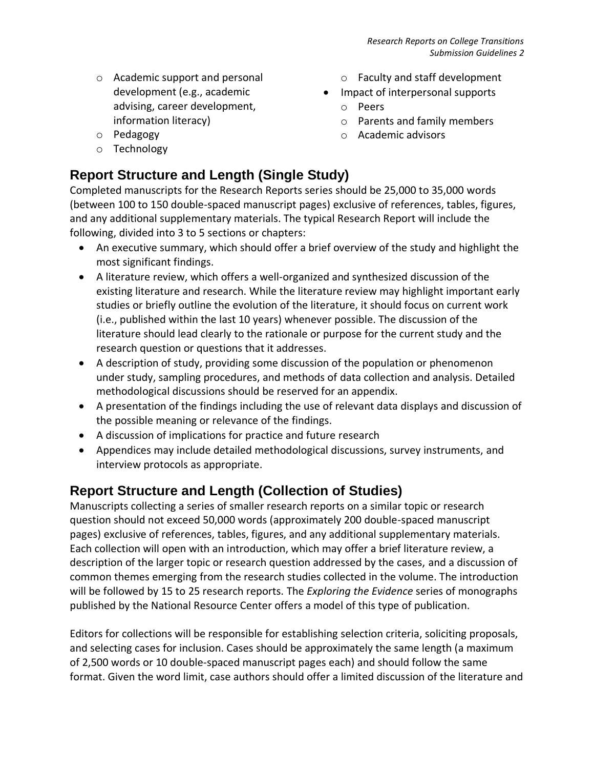- o Academic support and personal development (e.g., academic advising, career development, information literacy)
- o Pedagogy
- o Technology

#### o Faculty and staff development

- Impact of interpersonal supports
	- o Peers
	- o Parents and family members
	- o Academic advisors

## **Report Structure and Length (Single Study)**

Completed manuscripts for the Research Reports series should be 25,000 to 35,000 words (between 100 to 150 double-spaced manuscript pages) exclusive of references, tables, figures, and any additional supplementary materials. The typical Research Report will include the following, divided into 3 to 5 sections or chapters:

- An executive summary, which should offer a brief overview of the study and highlight the most significant findings.
- A literature review, which offers a well-organized and synthesized discussion of the existing literature and research. While the literature review may highlight important early studies or briefly outline the evolution of the literature, it should focus on current work (i.e., published within the last 10 years) whenever possible. The discussion of the literature should lead clearly to the rationale or purpose for the current study and the research question or questions that it addresses.
- A description of study, providing some discussion of the population or phenomenon under study, sampling procedures, and methods of data collection and analysis. Detailed methodological discussions should be reserved for an appendix.
- A presentation of the findings including the use of relevant data displays and discussion of the possible meaning or relevance of the findings.
- A discussion of implications for practice and future research
- Appendices may include detailed methodological discussions, survey instruments, and interview protocols as appropriate.

### **Report Structure and Length (Collection of Studies)**

Manuscripts collecting a series of smaller research reports on a similar topic or research question should not exceed 50,000 words (approximately 200 double-spaced manuscript pages) exclusive of references, tables, figures, and any additional supplementary materials. Each collection will open with an introduction, which may offer a brief literature review, a description of the larger topic or research question addressed by the cases, and a discussion of common themes emerging from the research studies collected in the volume. The introduction will be followed by 15 to 25 research reports. The *Exploring the Evidence* series of monographs published by the National Resource Center offers a model of this type of publication.

Editors for collections will be responsible for establishing selection criteria, soliciting proposals, and selecting cases for inclusion. Cases should be approximately the same length (a maximum of 2,500 words or 10 double-spaced manuscript pages each) and should follow the same format. Given the word limit, case authors should offer a limited discussion of the literature and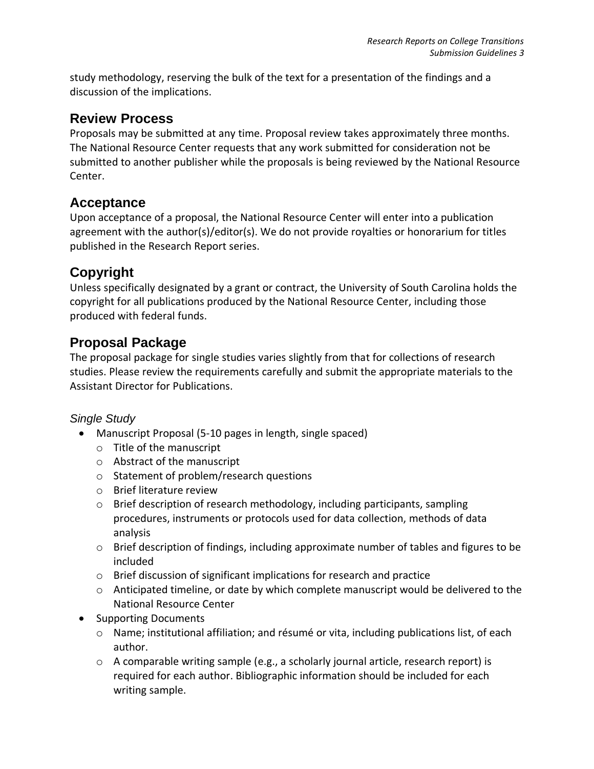study methodology, reserving the bulk of the text for a presentation of the findings and a discussion of the implications.

#### **Review Process**

Proposals may be submitted at any time. Proposal review takes approximately three months. The National Resource Center requests that any work submitted for consideration not be submitted to another publisher while the proposals is being reviewed by the National Resource Center.

#### **Acceptance**

Upon acceptance of a proposal, the National Resource Center will enter into a publication agreement with the author(s)/editor(s). We do not provide royalties or honorarium for titles published in the Research Report series.

### **Copyright**

Unless specifically designated by a grant or contract, the University of South Carolina holds the copyright for all publications produced by the National Resource Center, including those produced with federal funds.

#### **Proposal Package**

The proposal package for single studies varies slightly from that for collections of research studies. Please review the requirements carefully and submit the appropriate materials to the Assistant Director for Publications.

#### *Single Study*

- Manuscript Proposal (5-10 pages in length, single spaced)
	- o Title of the manuscript
	- o Abstract of the manuscript
	- o Statement of problem/research questions
	- o Brief literature review
	- $\circ$  Brief description of research methodology, including participants, sampling procedures, instruments or protocols used for data collection, methods of data analysis
	- o Brief description of findings, including approximate number of tables and figures to be included
	- o Brief discussion of significant implications for research and practice
	- $\circ$  Anticipated timeline, or date by which complete manuscript would be delivered to the National Resource Center
- Supporting Documents
	- $\circ$  Name; institutional affiliation; and résumé or vita, including publications list, of each author.
	- o A comparable writing sample (e.g., a scholarly journal article, research report) is required for each author. Bibliographic information should be included for each writing sample.